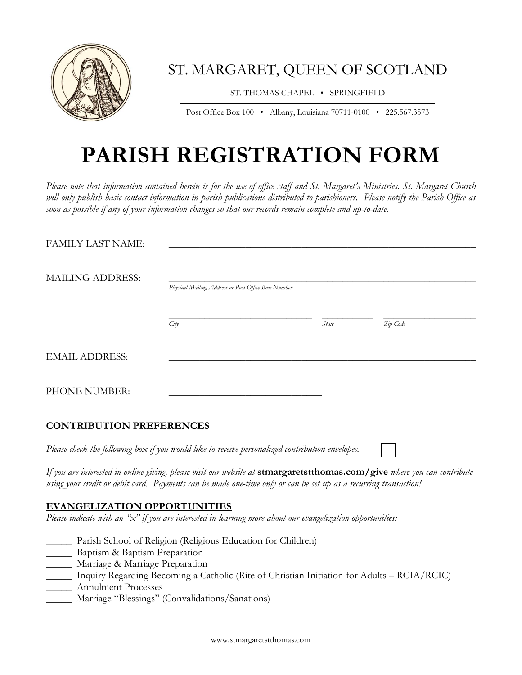

ST. MARGARET, QUEEN OF SCOTLAND

ST. THOMAS CHAPEL • SPRINGFIELD

Post Office Box 100 • Albany, Louisiana 70711-0100 • 225.567.3573

## **PARISH REGISTRATION FORM**

*Please note that information contained herein is for the use of office staff and St. Margaret's Ministries. St. Margaret Church will only publish basic contact information in parish publications distributed to parishioners. Please notify the Parish Office as soon as possible if any of your information changes so that our records remain complete and up-to-date.*

| <b>FAMILY LAST NAME:</b> |                                                    |       |          |  |  |  |
|--------------------------|----------------------------------------------------|-------|----------|--|--|--|
| <b>MAILING ADDRESS:</b>  | Physical Mailing Address or Post Office Box Number |       |          |  |  |  |
|                          | City                                               | State | Zip Code |  |  |  |
| <b>EMAIL ADDRESS:</b>    |                                                    |       |          |  |  |  |
| PHONE NUMBER:            |                                                    |       |          |  |  |  |

## **CONTRIBUTION PREFERENCES**

*Please check the following box if you would like to receive personalized contribution envelopes.*

*If you are interested in online giving, please visit our website at* **stmargaretstthomas.com/give** *where you can contribute using your credit or debit card. Payments can be made one-time only or can be set up as a recurring transaction!* 

## **EVANGELIZATION OPPORTUNITIES**

*Please indicate with an "x" if you are interested in learning more about our evangelization opportunities:* 

- \_\_\_\_\_ Parish School of Religion (Religious Education for Children)
- **Example 3** Baptism Preparation
- \_\_\_\_\_ Marriage & Marriage Preparation
- \_\_\_\_\_ Inquiry Regarding Becoming a Catholic (Rite of Christian Initiation for Adults RCIA/RCIC) \_\_\_\_\_ Annulment Processes
- \_\_\_\_\_ Marriage "Blessings" (Convalidations/Sanations)